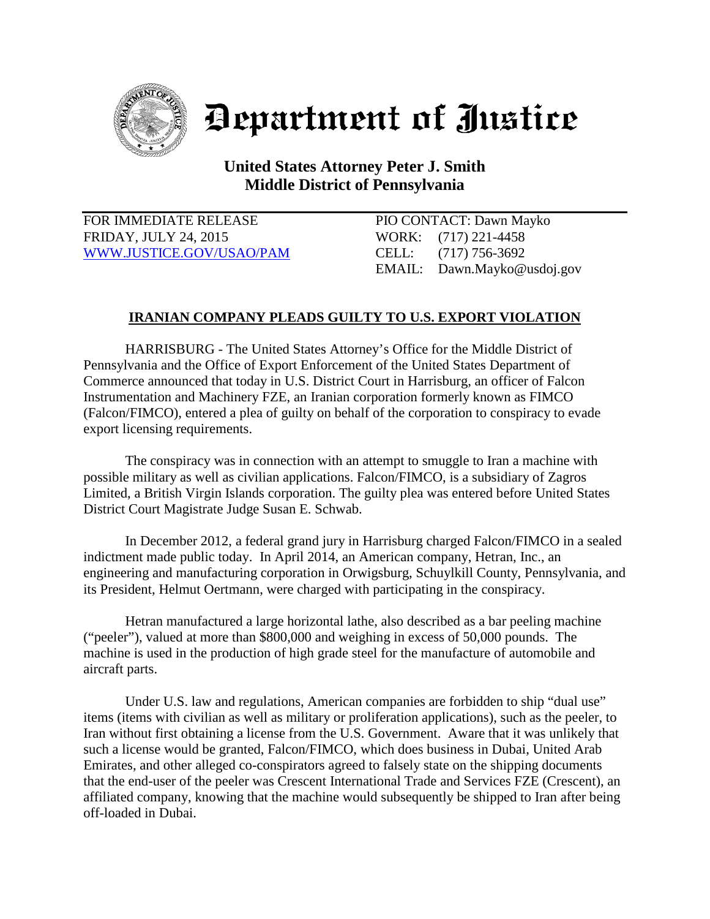

## Department of Justice

**United States Attorney Peter J. Smith Middle District of Pennsylvania**

FOR IMMEDIATE RELEASE PIO CONTACT: Dawn Mayko FRIDAY, JULY 24, 2015 WORK: (717) 221-4458 [WWW.JUSTICE.GOV/USAO/P](http://www.justice.gov/USAO/)AM CELL: (717) 756-3692

EMAIL: Dawn.Mayko@usdoj.gov

## **IRANIAN COMPANY PLEADS GUILTY TO U.S. EXPORT VIOLATION**

HARRISBURG - The United States Attorney's Office for the Middle District of Pennsylvania and the Office of Export Enforcement of the United States Department of Commerce announced that today in U.S. District Court in Harrisburg, an officer of Falcon Instrumentation and Machinery FZE, an Iranian corporation formerly known as FIMCO (Falcon/FIMCO), entered a plea of guilty on behalf of the corporation to conspiracy to evade export licensing requirements.

The conspiracy was in connection with an attempt to smuggle to Iran a machine with possible military as well as civilian applications. Falcon/FIMCO, is a subsidiary of Zagros Limited, a British Virgin Islands corporation. The guilty plea was entered before United States District Court Magistrate Judge Susan E. Schwab.

In December 2012, a federal grand jury in Harrisburg charged Falcon/FIMCO in a sealed indictment made public today. In April 2014, an American company, Hetran, Inc., an engineering and manufacturing corporation in Orwigsburg, Schuylkill County, Pennsylvania, and its President, Helmut Oertmann, were charged with participating in the conspiracy.

Hetran manufactured a large horizontal lathe, also described as a bar peeling machine ("peeler"), valued at more than \$800,000 and weighing in excess of 50,000 pounds. The machine is used in the production of high grade steel for the manufacture of automobile and aircraft parts.

Under U.S. law and regulations, American companies are forbidden to ship "dual use" items (items with civilian as well as military or proliferation applications), such as the peeler, to Iran without first obtaining a license from the U.S. Government. Aware that it was unlikely that such a license would be granted, Falcon/FIMCO, which does business in Dubai, United Arab Emirates, and other alleged co-conspirators agreed to falsely state on the shipping documents that the end-user of the peeler was Crescent International Trade and Services FZE (Crescent), an affiliated company, knowing that the machine would subsequently be shipped to Iran after being off-loaded in Dubai.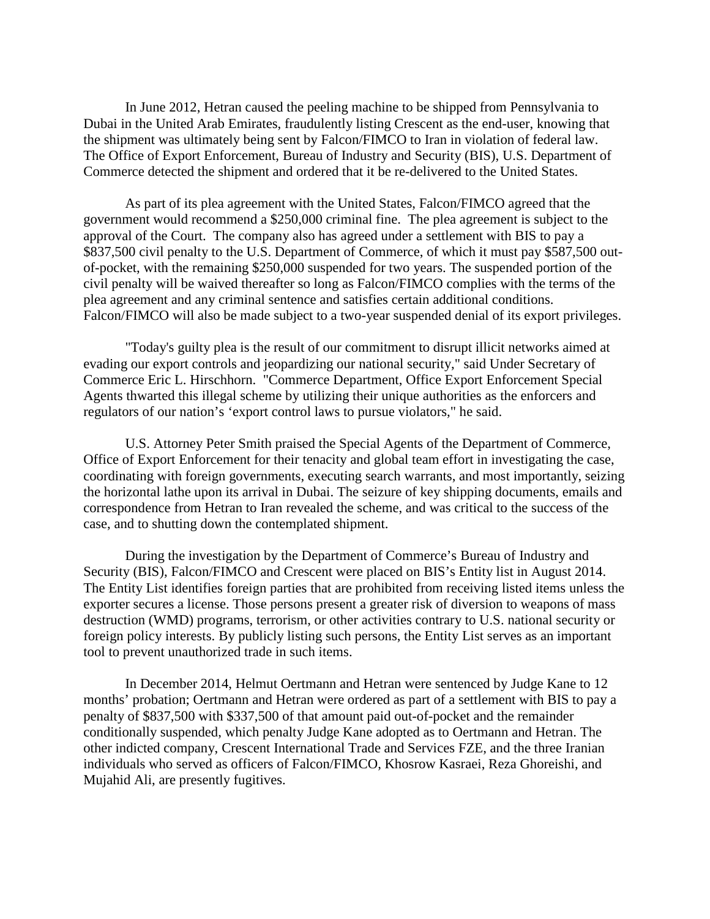In June 2012, Hetran caused the peeling machine to be shipped from Pennsylvania to Dubai in the United Arab Emirates, fraudulently listing Crescent as the end-user, knowing that the shipment was ultimately being sent by Falcon/FIMCO to Iran in violation of federal law. The Office of Export Enforcement, Bureau of Industry and Security (BIS), U.S. Department of Commerce detected the shipment and ordered that it be re-delivered to the United States.

As part of its plea agreement with the United States, Falcon/FIMCO agreed that the government would recommend a \$250,000 criminal fine. The plea agreement is subject to the approval of the Court. The company also has agreed under a settlement with BIS to pay a \$837,500 civil penalty to the U.S. Department of Commerce, of which it must pay \$587,500 outof-pocket, with the remaining \$250,000 suspended for two years. The suspended portion of the civil penalty will be waived thereafter so long as Falcon/FIMCO complies with the terms of the plea agreement and any criminal sentence and satisfies certain additional conditions. Falcon/FIMCO will also be made subject to a two-year suspended denial of its export privileges.

"Today's guilty plea is the result of our commitment to disrupt illicit networks aimed at evading our export controls and jeopardizing our national security," said Under Secretary of Commerce Eric L. Hirschhorn. "Commerce Department, Office Export Enforcement Special Agents thwarted this illegal scheme by utilizing their unique authorities as the enforcers and regulators of our nation's 'export control laws to pursue violators," he said.

U.S. Attorney Peter Smith praised the Special Agents of the Department of Commerce, Office of Export Enforcement for their tenacity and global team effort in investigating the case, coordinating with foreign governments, executing search warrants, and most importantly, seizing the horizontal lathe upon its arrival in Dubai. The seizure of key shipping documents, emails and correspondence from Hetran to Iran revealed the scheme, and was critical to the success of the case, and to shutting down the contemplated shipment.

During the investigation by the Department of Commerce's Bureau of Industry and Security (BIS), Falcon/FIMCO and Crescent were placed on BIS's Entity list in August 2014. The Entity List identifies foreign parties that are prohibited from receiving listed items unless the exporter secures a license. Those persons present a greater risk of diversion to weapons of mass destruction (WMD) programs, terrorism, or other activities contrary to U.S. national security or foreign policy interests. By publicly listing such persons, the Entity List serves as an important tool to prevent unauthorized trade in such items.

In December 2014, Helmut Oertmann and Hetran were sentenced by Judge Kane to 12 months' probation; Oertmann and Hetran were ordered as part of a settlement with BIS to pay a penalty of \$837,500 with \$337,500 of that amount paid out-of-pocket and the remainder conditionally suspended, which penalty Judge Kane adopted as to Oertmann and Hetran. The other indicted company, Crescent International Trade and Services FZE, and the three Iranian individuals who served as officers of Falcon/FIMCO, Khosrow Kasraei, Reza Ghoreishi, and Mujahid Ali, are presently fugitives.